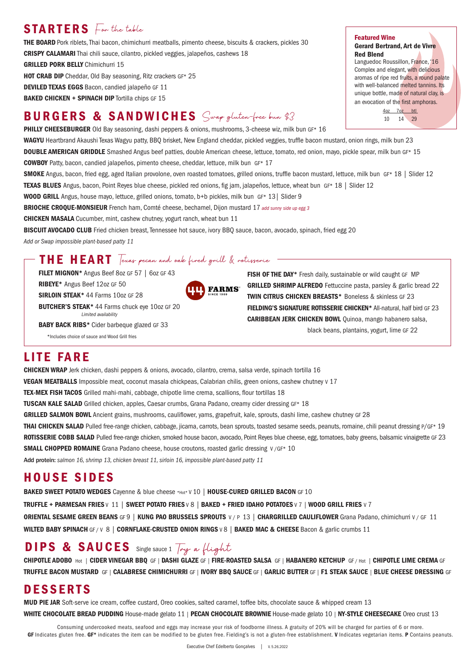## STARTERS For the table

THE BOARD Pork riblets, Thai bacon, chimichurri meatballs, pimento cheese, biscuits & crackers, pickles 30 CRISPY CALAMARI Thai chili sauce, cilantro, pickled veggies, jalapeños, cashews 18

**GRILLED PORK BELLY Chimichurri 15** 

HOT CRAB DIP Cheddar, Old Bay seasoning, Ritz crackers GF\* 25 DEVILED TEXAS EGGS Bacon, candied jalapeño GF 11

**BAKED CHICKEN + SPINACH DIP** Tortilla chips GF 15

# BURGERS & SANDWICHES Swap gluten-free bun \$3

PHILLY CHEESEBURGER Old Bay seasoning, dashi peppers & onions, mushrooms, 3-cheese wiz, milk bun GF\* 16

WAGYU Heartbrand Akaushi Texas Wagyu patty, BBQ brisket, New England cheddar, pickled veggies, truffle bacon mustard, onion rings, milk bun 23 DOUBLE AMERICAN GRIDDLE Smashed Angus beef patties, double American cheese, lettuce, tomato, red onion, mayo, pickle spear, milk bun GF\* 15 COWBOY Patty, bacon, candied jalapeños, pimento cheese, cheddar, lettuce, milk bun GF\* 17

SMOKE Angus, bacon, fried egg, aged Italian provolone, oven roasted tomatoes, grilled onions, truffle bacon mustard, lettuce, milk bun GF\* 18 | Slider 12 TEXAS BLUES Angus, bacon, Point Reyes blue cheese, pickled red onions, fig jam, jalapeños, lettuce, wheat bun GF\* 18 | Slider 12

**FARMS**\*

WOOD GRILL Angus, house mayo, lettuce, grilled onions, tomato, b+b pickles, milk bun GF\* 13 | Slider 9

BRIOCHE CROQUE-MONSIEUR French ham, Comté cheese, bechamel, Dijon mustard 17 *add sunny side up egg 3*

**CHICKEN MASALA** Cucumber, mint, cashew chutney, yogurt ranch, wheat bun 11

BISCUIT AVOCADO CLUB Fried chicken breast, Tennessee hot sauce, ivory BBQ sauce, bacon, avocado, spinach, fried egg 20

*Add or Swap impossible plant-based patty 11*

### THE HEART Texas pecan and oak fired grill & rotisserie

FILET MIGNON\* Angus Beef 8oz GF 57 | 6oz GF 43

RIBEYE\* Angus Beef 12oz GF 50

SIRLOIN STEAK<sup>\*</sup> 44 Farms 10oz GF 28

BUTCHER'S STEAK\* 44 Farms chuck eye 10oz GF 20 *Limited availability*

BABY BACK RIBS\* Cider barbeque glazed GF 33

\*Includes choice of sauce and Wood Grill fries

### LITE FARE

CHICKEN WRAP Jerk chicken, dashi peppers & onions, avocado, cilantro, crema, salsa verde, spinach tortilla 16 VEGAN MEATBALLS Impossible meat, coconut masala chickpeas, Calabrian chilis, green onions, cashew chutney v 17 TEX-MEX FISH TACOS Grilled mahi-mahi, cabbage, chipotle lime crema, scallions, flour tortillas 18 TUSCAN KALE SALAD Grilled chicken, apples, Caesar crumbs, Grana Padano, creamy cider dressing GF\* 18 GRILLED SALMON BOWL Ancient grains, mushrooms, cauliflower, yams, grapefruit, kale, sprouts, dashi lime, cashew chutney GF 28 THAI CHICKEN SALAD Pulled free-range chicken, cabbage, jicama, carrots, bean sprouts, toasted sesame seeds, peanuts, romaine, chili peanut dressing P/GF\* 19 ROTISSERIE COBB SALAD Pulled free-range chicken, smoked house bacon, avocado, Point Reyes blue cheese, egg, tomatoes, baby greens, balsamic vinaigrette GF 23 **SMALL CHOPPED ROMAINE** Grana Padano cheese, house croutons, roasted garlic dressing V/GF\* 10 Add protein: *salmon 16, shrimp 13, chicken breast 11, sirloin 16, impossible plant-based patty 11* 

### HOUSE SIDES

BAKED SWEET POTATO WEDGES Cayenne & blue cheese \*Hot\* V 10 | HOUSE-CURED GRILLED BACON GF 10 TRUFFLE + PARMESAN FRIES V 11 | SWEET POTATO FRIES V 8 | BAKED + FRIED IDAHO POTATOES V 7 | WOOD GRILL FRIES V 7 ORIENTAL SESAME GREEN BEANS GF 9 | KUNG PAO BRUSSELS SPROUTS V / P 13 | CHARGRILLED CAULIFLOWER Grana Padano, chimichurri V / GF 11 WILTED BABY SPINACH GF/V 8 | CORNFLAKE-CRUSTED ONION RINGS V 8 | BAKED MAC & CHEESE Bacon & garlic crumbs 11

# DIPS & SAUCES Single sauce 1 Try a flight

CHIPOTLE ADOBO Hot | CIDER VINEGAR BBQ GF | DASHI GLAZE GF | FIRE-ROASTED SALSA GF | HABANERO KETCHUP GF / Hot | CHIPOTLE LIME CREMA GF TRUFFLE BACON MUSTARD GF | CALABRESE CHIMICHURRI GF | IVORY BBQ SAUCE GF | GARLIC BUTTER GF | F1 STEAK SAUCE | BLUE CHEESE DRESSING GF

## **DESSERTS**

MUD PIE JAR Soft-serve ice cream, coffee custard, Oreo cookies, salted caramel, toffee bits, chocolate sauce & whipped cream 13 WHITE CHOCOLATE BREAD PUDDING House-made gelato 11 | PECAN CHOCOLATE BROWNIE House-made gelato 10 | NY-STYLE CHEESECAKE Oreo crust 13

Consuming undercooked meats, seafood and eggs may increase your risk of foodborne illness. A gratuity of 20% will be charged for parties of 6 or more. GF Indicates gluten free. GF\* indicates the item can be modified to be gluten free. Fielding's is not a gluten-free establishment. V Indicates vegetarian items. P Contains peanuts.

### Featured Wine

Gerard Bertrand, Art de Vivre Red Blend

Languedoc Roussillon, France, '16 Complex and elegant, with delicious aromas of ripe red fruits, a round palate with well-balanced melted tannins. Its unique bottle, made of natural clay, is an evocation of the first amphoras. 4oz 7oz btl

10 14 29

FISH OF THE DAY\* Fresh daily, sustainable or wild caught GF MP GRILLED SHRIMP ALFREDO Fettuccine pasta, parsley & garlic bread 22 TWIN CITRUS CHICKEN BREASTS\* Boneless & skinless GF 23 FIELDING'S SIGNATURE ROTISSERIE CHICKEN\* All-natural, half bird GF 23 CARIBBEAN JERK CHICKEN BOWL Quinoa, mango habanero salsa, black beans, plantains, yogurt, lime GF 22